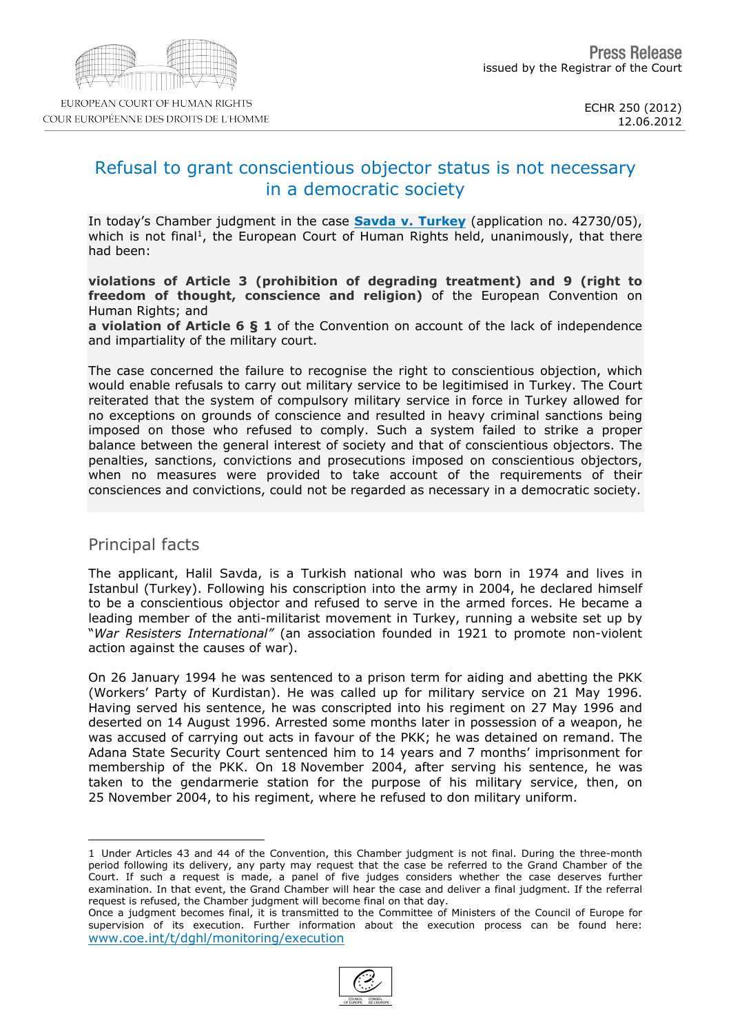# Refusal to grant conscientious objector status is not necessary in a democratic society

In today's Chamber judgment in the case [Savda](http://cmiskp.echr.coe.int/tkp197/view.asp?action=html&documentId=909442&portal=hbkm&source=externalbydocnumber&table=F69A27FD8FB86142BF01C1166DEA398649) [v.](http://cmiskp.echr.coe.int/tkp197/view.asp?action=html&documentId=909442&portal=hbkm&source=externalbydocnumber&table=F69A27FD8FB86142BF01C1166DEA398649) [Turkey](http://cmiskp.echr.coe.int/tkp197/view.asp?action=html&documentId=909442&portal=hbkm&source=externalbydocnumber&table=F69A27FD8FB86142BF01C1166DEA398649) (application no. 42730/05), which is not final <sup>1</sup>, the European Court of Human Rights held, unanimously, that there had been:

violations of Article 3 (prohibition of degrading treatment) and 9 (right to freedom of thought, conscience and religion) of the European Convention on Human Rights; and

a violation of Article 6 § 1 of the Convention on account of the lack of independence and impartiality of the military court.

The case concerned the failure to recognise the right to conscientious objection, which would enable refusals to carry out military service to be legitimised in Turkey. The Court reiterated that the system of compulsory military service in force in Turkey allowed for no exceptions on grounds of conscience and resulted in heavy criminal sanctions being imposed on those who refused to comply. Such a system failed to strike a proper balance between the general interest of society and that of conscientious objectors. The penalties, sanctions, convictions and prosecutions imposed on conscientious objectors, when no measures were provided to take account of the requirements of their consciences and convictions, could not be regarded as necessary in a democratic society.

### Principal facts

The applicant, Halil Savda, is a Turkish national who was born in 1974 and lives in Istanbul (Turkey). Following his conscription into the army in 2004, he declared himself to be a conscientious objector and refused to serve in the armed forces. He became a leading member of the anti-militarist movement in Turkey, running a website set up by "War Resisters International" (an association founded in 1921 to promote non-violent action against the causes of war).

On 26 January 1994 he was sentenced to a prison term for aiding and abetting the PKK (Workers' Party of Kurdistan). He was called up for military service on 21 May 1996. Having served his sentence, he was conscripted into his regiment on 27 May 1996 and deserted on 14 August 1996. Arrested some months later in possession of a weapon, he was accused of carrying out acts in favour of the PKK; he was detained on remand. The Adana State Security Court sentenced him to 14 years and 7 months' imprisonment for membership of the PKK. On 18 November 2004, after serving his sentence, he was taken to the gendarmerie station for the purpose of his military service, then, on 25 November 2004, to his regiment, where he refused to don military uniform.

<sup>1</sup> Under Articles 43 and 44 of the Convention, this Chamber judgment is not final. During the three-month period following its delivery, any party may request that the case be referred to the Grand Chamber of the Court. If such a request is made, a panel of five judges considers whether the case deserves further examination. In that event, the Grand Chamber will hear the case and deliver a final judgment. If the referral request is refused, the Chamber judgment will become final on that day.

Once a judgment becomes final, it is transmitted to the Committee of Ministers of the Council of Europe for supervision of its execution. Further information about the execution process can be found here: [www.coe.int/t/dghl/monitoring/execution](http://www.coe.int/t/dghl/monitoring/execution)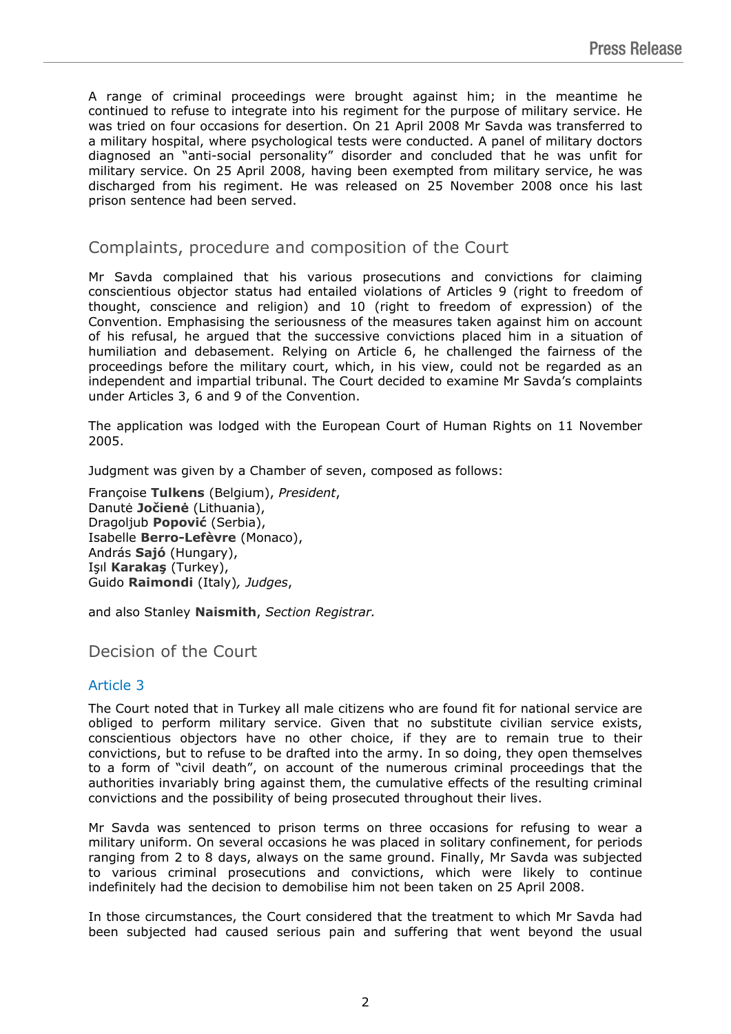A range of criminal proceedings were brought against him; in the meantime he continued to refuse to integrate into his regiment for the purpose of military service. He was tried on four occasions for desertion. On 21 April 2008 Mr Savda was transferred to a military hospital, where psychological tests were conducted. A panel of military doctors diagnosed an "anti-social personality" disorder and concluded that he was unfit for military service. On 25 April 2008, having been exempted from military service, he was discharged from his regiment. He was released on 25 November 2008 once his last prison sentence had been served.

## Complaints, procedure and composition of the Court

Mr Savda complained that his various prosecutions and convictions for claiming conscientious objector status had entailed violations of Articles 9 (right to freedom of thought, conscience and religion) and 10 (right to freedom of expression) of the Convention. Emphasising the seriousness of the measures taken against him on account of his refusal, he argued that the successive convictions placed him in a situation of humiliation and debasement. Relying on Article 6, he challenged the fairness of the proceedings before the military court, which, in his view, could not be regarded as an independent and impartial tribunal. The Court decided to examine Mr Savda's complaints under Articles 3, 6 and 9 of the Convention.

The application was lodged with the European Court of Human Rights on 11 November 2005.

Judgment was given by a Chamber of seven, composed as follows:

Françoise **Tulkens** (Belgium), *President*, Danutė **Jočienė** (Lithuania), Dragoljub **Popović** (Serbia), Isabelle **Berro-Lefèvre** (Monaco), András **Sajó** (Hungary), Işıl **Karakaş** (Turkey), Guido **Raimondi** (Italy)*, Judges*,

and also Stanley **Naismith**, *Section Registrar.*

Decision of the Court

### Article 3

The Court noted that in Turkey all male citizens who are found fit for national service are obliged to perform military service. Given that no substitute civilian service exists, conscientious objectors have no other choice, if they are to remain true to their convictions, but to refuse to be drafted into the army. In so doing, they open themselves to a form of "civil death", on account of the numerous criminal proceedings that the authorities invariably bring against them, the cumulative effects of the resulting criminal convictions and the possibility of being prosecuted throughout their lives.

Mr Savda was sentenced to prison terms on three occasions for refusing to wear a military uniform. On several occasions he was placed in solitary confinement, for periods ranging from 2 to 8 days, always on the same ground. Finally, Mr Savda was subjected to various criminal prosecutions and convictions, which were likely to continue indefinitely had the decision to demobilise him not been taken on 25 April 2008.

In those circumstances, the Court considered that the treatment to which Mr Savda had been subjected had caused serious pain and suffering that went beyond the usual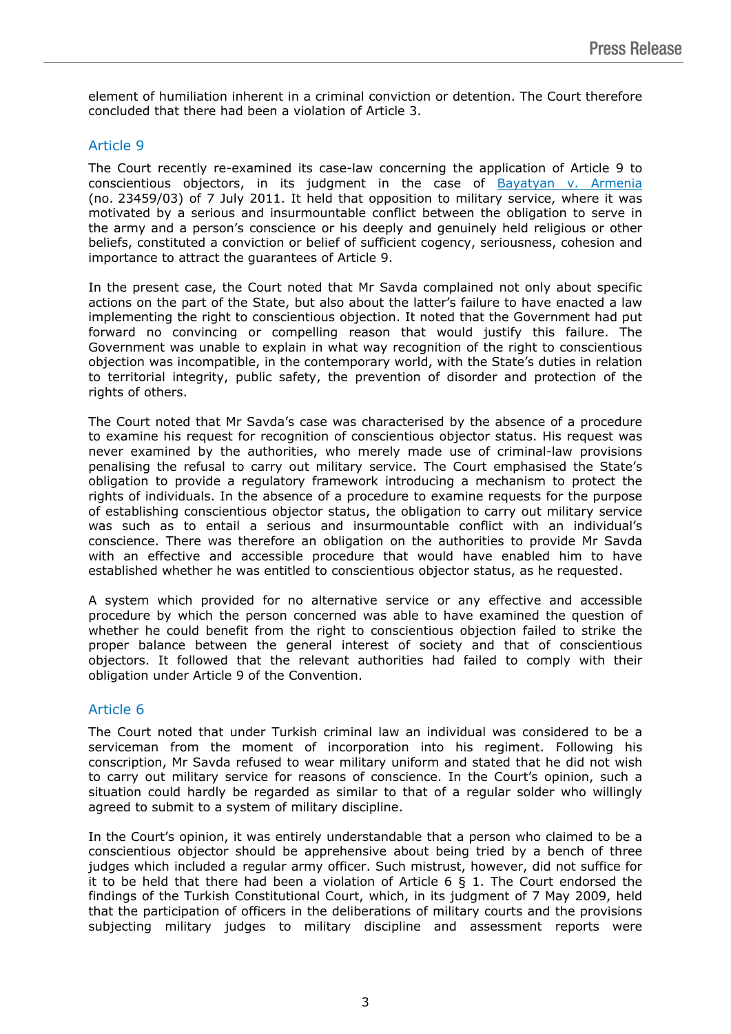element of humiliation inherent in a criminal conviction or detention. The Court therefore concluded that there had been a violation of Article 3.

#### Article 9

The Court recently re-examined its case-law concerning the application of Article 9 to conscientious objectors, in its judgment in the case of [Bayatyan](http://cmiskp.echr.coe.int/tkp197/view.asp?item=1&portal=hbkm&action=html&highlight=23459/03&sessionid=99321143&skin=hudoc-en) [v.](http://cmiskp.echr.coe.int/tkp197/view.asp?item=1&portal=hbkm&action=html&highlight=23459/03&sessionid=99321143&skin=hudoc-en) [Armenia](http://cmiskp.echr.coe.int/tkp197/view.asp?item=1&portal=hbkm&action=html&highlight=23459/03&sessionid=99321143&skin=hudoc-en)  (no. 23459/03) of 7 July 2011. It held that opposition to military service, where it was motivated by a serious and insurmountable conflict between the obligation to serve in the army and a person's conscience or his deeply and genuinely held religious or other beliefs, constituted a conviction or belief of sufficient cogency, seriousness, cohesion and importance to attract the guarantees of Article 9.

In the present case, the Court noted that Mr Savda complained not only about specific actions on the part of the State, but also about the latter's failure to have enacted a law implementing the right to conscientious objection. It noted that the Government had put forward no convincing or compelling reason that would justify this failure. The Government was unable to explain in what way recognition of the right to conscientious objection was incompatible, in the contemporary world, with the State's duties in relation to territorial integrity, public safety, the prevention of disorder and protection of the rights of others.

The Court noted that Mr Savda's case was characterised by the absence of a procedure to examine his request for recognition of conscientious objector status. His request was never examined by the authorities, who merely made use of criminal-law provisions penalising the refusal to carry out military service. The Court emphasised the State's obligation to provide a regulatory framework introducing a mechanism to protect the rights of individuals. In the absence of a procedure to examine requests for the purpose of establishing conscientious objector status, the obligation to carry out military service was such as to entail a serious and insurmountable conflict with an individual's conscience. There was therefore an obligation on the authorities to provide Mr Savda with an effective and accessible procedure that would have enabled him to have established whether he was entitled to conscientious objector status, as he requested.

A system which provided for no alternative service or any effective and accessible procedure by which the person concerned was able to have examined the question of whether he could benefit from the right to conscientious objection failed to strike the proper balance between the general interest of society and that of conscientious objectors. It followed that the relevant authorities had failed to comply with their obligation under Article 9 of the Convention.

#### Article 6

The Court noted that under Turkish criminal law an individual was considered to be a serviceman from the moment of incorporation into his regiment. Following his conscription, Mr Savda refused to wear military uniform and stated that he did not wish to carry out military service for reasons of conscience. In the Court's opinion, such a situation could hardly be regarded as similar to that of a regular solder who willingly agreed to submit to a system of military discipline.

In the Court's opinion, it was entirely understandable that a person who claimed to be a conscientious objector should be apprehensive about being tried by a bench of three judges which included a regular army officer. Such mistrust, however, did not suffice for it to be held that there had been a violation of Article 6 § 1. The Court endorsed the findings of the Turkish Constitutional Court, which, in its judgment of 7 May 2009, held that the participation of officers in the deliberations of military courts and the provisions subjecting military judges to military discipline and assessment reports were